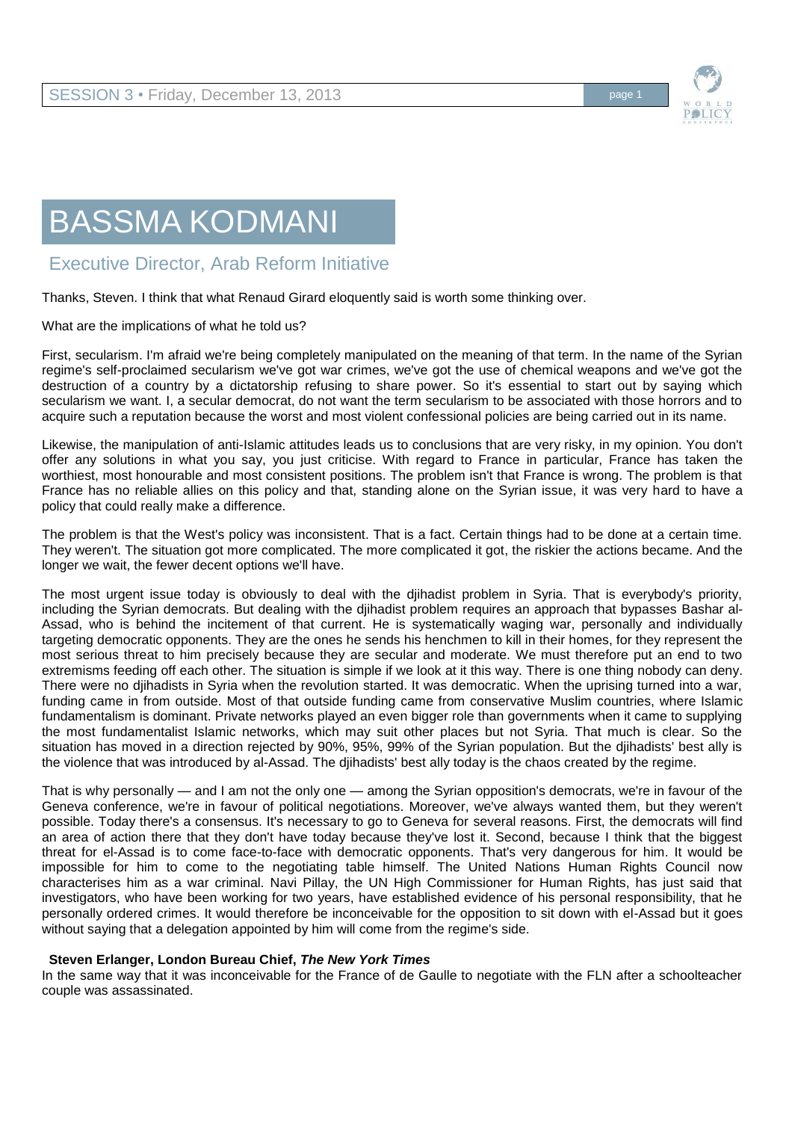

## BASSMA KODMANI

## Executive Director, Arab Reform Initiative

Thanks, Steven. I think that what Renaud Girard eloquently said is worth some thinking over.

What are the implications of what he told us?

First, secularism. I'm afraid we're being completely manipulated on the meaning of that term. In the name of the Syrian regime's self-proclaimed secularism we've got war crimes, we've got the use of chemical weapons and we've got the destruction of a country by a dictatorship refusing to share power. So it's essential to start out by saying which secularism we want. I, a secular democrat, do not want the term secularism to be associated with those horrors and to acquire such a reputation because the worst and most violent confessional policies are being carried out in its name.

Likewise, the manipulation of anti-Islamic attitudes leads us to conclusions that are very risky, in my opinion. You don't offer any solutions in what you say, you just criticise. With regard to France in particular, France has taken the worthiest, most honourable and most consistent positions. The problem isn't that France is wrong. The problem is that France has no reliable allies on this policy and that, standing alone on the Syrian issue, it was very hard to have a policy that could really make a difference.

The problem is that the West's policy was inconsistent. That is a fact. Certain things had to be done at a certain time. They weren't. The situation got more complicated. The more complicated it got, the riskier the actions became. And the longer we wait, the fewer decent options we'll have.

The most urgent issue today is obviously to deal with the djihadist problem in Syria. That is everybody's priority, including the Syrian democrats. But dealing with the djihadist problem requires an approach that bypasses Bashar al-Assad, who is behind the incitement of that current. He is systematically waging war, personally and individually targeting democratic opponents. They are the ones he sends his henchmen to kill in their homes, for they represent the most serious threat to him precisely because they are secular and moderate. We must therefore put an end to two extremisms feeding off each other. The situation is simple if we look at it this way. There is one thing nobody can deny. There were no djihadists in Syria when the revolution started. It was democratic. When the uprising turned into a war, funding came in from outside. Most of that outside funding came from conservative Muslim countries, where Islamic fundamentalism is dominant. Private networks played an even bigger role than governments when it came to supplying the most fundamentalist Islamic networks, which may suit other places but not Syria. That much is clear. So the situation has moved in a direction rejected by 90%, 95%, 99% of the Syrian population. But the djihadists' best ally is the violence that was introduced by al-Assad. The djihadists' best ally today is the chaos created by the regime.

That is why personally — and I am not the only one — among the Syrian opposition's democrats, we're in favour of the Geneva conference, we're in favour of political negotiations. Moreover, we've always wanted them, but they weren't possible. Today there's a consensus. It's necessary to go to Geneva for several reasons. First, the democrats will find an area of action there that they don't have today because they've lost it. Second, because I think that the biggest threat for el-Assad is to come face-to-face with democratic opponents. That's very dangerous for him. It would be impossible for him to come to the negotiating table himself. The United Nations Human Rights Council now characterises him as a war criminal. Navi Pillay, the UN High Commissioner for Human Rights, has just said that investigators, who have been working for two years, have established evidence of his personal responsibility, that he personally ordered crimes. It would therefore be inconceivable for the opposition to sit down with el-Assad but it goes without saying that a delegation appointed by him will come from the regime's side.

## **Steven Erlanger, London Bureau Chief,** *The New York Times*

In the same way that it was inconceivable for the France of de Gaulle to negotiate with the FLN after a schoolteacher couple was assassinated.